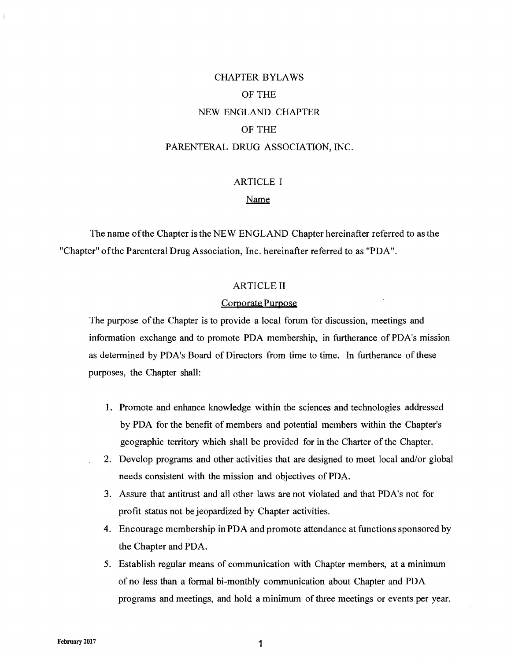# CHAPTER BYLAWS OF THE NEW ENGLAND CHAPTER OF THE PARENTERAL DRUG ASSOCIATION, INC.

# ARTICLE I

# Name

The name ofthe Chapter is the NEW ENGLAND Chapter hereinafter referred to as the "Chapter" ofthe Parenteral Drug Association, Inc. hereinafter referred to as "PDA".

### ARTICLE II

#### Corporate Purpose

The purpose of the Chapter is to provide a local forum for discussion, meetings and information exchange and to promote PDA membership, in furtherance of PDA's mission as determined by PDA's Board of Directors from time to time. In furtherance of these purposes, the Chapter shall:

- 1. Promote and enhance knowledge within the sciences and technologies addressed by PDA for the benefit of members and potential members within the Chapter's geographic territory which shall be provided for in the Charter of the Chapter.
- 2. Develop programs and other activities that are designed to meet local and/or global needs consistent with the mission and objectives of PDA.
- 3. Assure that antitrust and all other laws are not violated and that PDA's not for profit status not be jeopardized by Chapter activities.
- 4. Encourage membership in PDA and promote attendance at functions sponsored by the Chapter and PDA.
- 5. Establish regular means of communication with Chapter members, at a minimum of no less than a formal bi-monthly communication about Chapter and PDA programs and meetings, and hold a minimum of three meetings or events per year.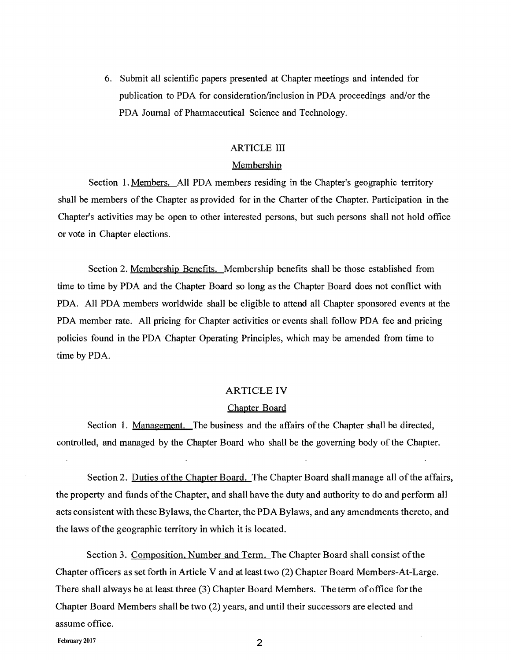6. Submit all scientific papers presented at Chapter meetings and intended for publication to PDA for consideration/inclusion in PDA proceedings and/or the PDA Journal of Pharmaceutical Science and Technology.

# ARTICLE III

# Membership

Section 1. Members. All PDA members residing in the Chapter's geographic territory shall be members of the Chapter as provided for in the Charter of the Chapter. Participation in the Chapter's activities may be open to other interested persons, but such persons shall not hold office or vote in Chapter elections.

Section 2. Membership Benefits. Membership benefits shall be those established from time to time by PDA and the Chapter Board so long as the Chapter Board does not conflict with PDA. All PDA members worldwide shall be eligible to attend all Chapter sponsored events at the PDA member rate. All pricing for Chapter activities or events shall follow PDA fee and pricing policies found in the PDA Chapter Operating Principles, which may be amended from time to time by PDA.

#### ARTICLE **IV**

# Chapter Board

Section 1. Management. The business and the affairs of the Chapter shall be directed, controlled, and managed by the Chapter Board who shall be the governing body of the Chapter.

Section 2. Duties of the Chapter Board. The Chapter Board shall manage all of the affairs, the property and funds ofthe Chapter, and shall have the duty and authority to do and perform all acts consistent with these Bylaws, the Charter, the PDA Bylaws, and any amendments thereto, and the laws ofthe geographic territory in which it is located.

Section 3. Composition, Number and Term. The Chapter Board shall consist of the Chapter officers as set forth in Article V and at least two (2) Chapter Board Members-At-Large. There shall always be at least three (3) Chapter Board Members. The term ofoffice for the Chapter Board Members shall be two (2) years, and until their successors are elected and assume office.

February 2017 2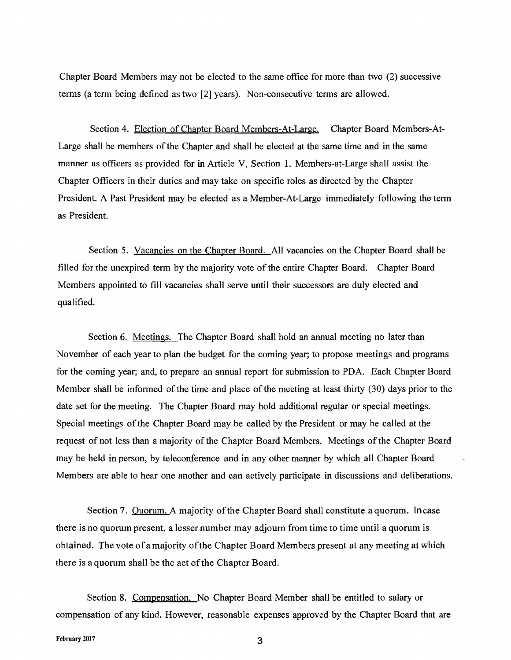Chapter Board Members may not be elected to the same office for more than two (2) successive tenns (a term being defined as two [2] years). Non-consecutive terms are allowed.

Section 4. Election of Chapter Board Members-At-Large. Chapter Board Members-At-Large shall be members of the Chapter and shall be elected at the same time and in the same manner as officers as provided for in Article V, Section 1. Members-at-Large shall assist the Chapter Officers in their duties and may take on specific roles as directed by the Chapter President. A Past President may be elected as a Member-At-Large immediately following the term as President.

Section 5. Vacancies on the Chapter Board. All vacancies on the Chapter Board shall be filled for the unexpired term by the majority vote of the entire Chapter Board. Chapter Board Members appointed to fill vacancies shall serve until their successors are duly elected and qualified.

Section 6. Meetings. The Chapter Board shall hold an annual meeting no later than November of each year to plan the budget for the coming year; to propose meetings and programs for the coming year; and, to prepare an annual report for submission to PDA. Each Chapter Board Member shall be informed of the time and place of the meeting at least thirty (30) days prior to the date set for the meeting. The Chapter Board may hold additional regular or special meetings. Special meetings ofthe Chapter Board may be called by the President or may be called at the request of not less than a majority of the Chapter Board Members. Meetings of the Chapter Board may be held in person, by teleconference and in any other manner by which all Chapter Board Members are able to hear one another and can actively participate in discussions and deliberations.

Section 7. Quorum. A majority of the Chapter Board shall constitute a quorum. In case there is no quorum present, a lesser number may adjourn from time to time until a quorum is obtained. The vote ofa majority ofthe Chapter Board Members present at any meeting at which there is a quorum shall be the act of the Chapter Board.

Section 8. Compensation. No Chapter Board Member shall be entitled to salary or compensation of any kind. However, reasonable expenses approved by the Chapter Board that are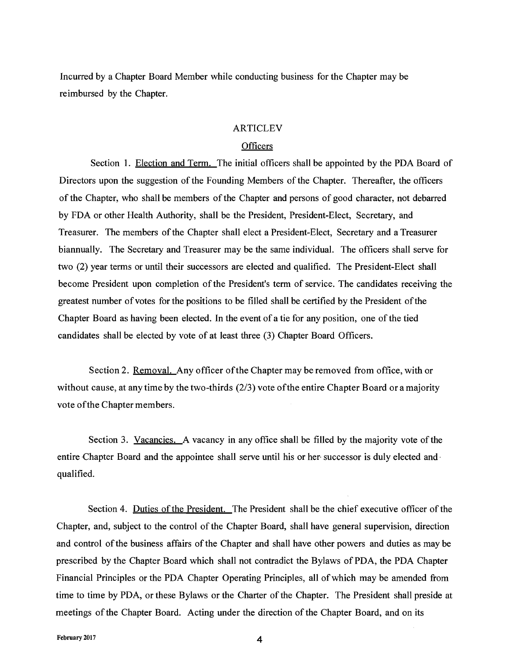Incurred by a Chapter Board Member while conducting business for the Chapter may be reimbursed by the Chapter.

# ARTICLEV

# **Officers**

Section 1. Election and Term. The initial officers shall be appointed by the PDA Board of Directors upon the suggestion of the Founding Members of the Chapter. Thereafter, the officers of the Chapter, who shall be members of the Chapter and persons of good character, not debarred by FDA or other Health Authority, shall be the President, President-Elect, Secretary, and Treasurer. The members of the Chapter shall elect a President-Elect, Secretary and a Treasurer biannually. The Secretary and Treasurer may be the same individual. The officers shall serve for two (2) year terms or until their successors are elected and qualified. The President-Elect shall become President upon completion of the President's term of service. The candidates receiving the greatest number of votes for the positions to be filled shall be certified by the President of the Chapter Board as having been elected. In the event of a tie for any position, one of the tied candidates shall be elected by vote of at least three (3) Chapter Board Officers.

Section 2. Removal. Any officer ofthe Chapter may be removed from office, with or without cause, at any time by the two-thirds (2/3) vote of the entire Chapter Board or a majority vote ofthe Chapter members.

Section 3. Vacancies. A vacancy in any office shall be filled by the majority vote of the entire Chapter Board and the appointee shall serve until his or her-successor is duly elected andqualified.

Section 4. Duties of the President. The President shall be the chief executive officer of the Chapter, and, subject to the control of the Chapter Board, shall have general supervision, direction and control of the business affairs of the Chapter and shall have other powers and duties as may be prescribed by the Chapter Board which shall not contradict the Bylaws of PDA, the PDA Chapter Financial Principles or the PDA Chapter Operating Principles, all of which may be amended from time to time by PDA, or these Bylaws or the Charter of the Chapter. The President shall preside at meetings of the Chapter Board. Acting under the direction of the Chapter Board, and on its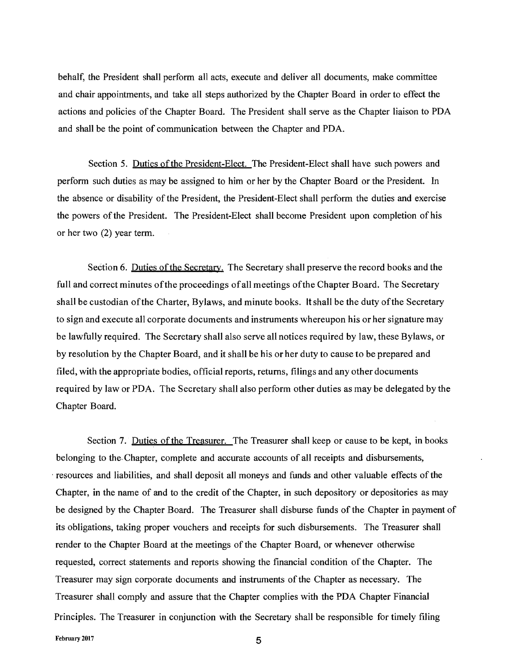behalf, the President shall perform all acts, execute and deliver all documents, make committee and chair appointments, and take all steps authorized by the Chapter Board in order to effect the actions and policies of the Chapter Board. The President shall serve as the Chapter liaison to PDA and shall be the point of communication between the Chapter and PDA.

Section 5. Duties of the President-Elect. The President-Elect shall have such powers and perform such duties as may be assigned to him or her by the Chapter Board or the President. In the absence or disability of the President, the President-Elect shall perform the duties and exercise the powers of the President. The President-Elect shall become President upon completion of his or her two (2) year term.

Section 6. Duties of the Secretary. The Secretary shall preserve the record books and the full and correct minutes of the proceedings of all meetings of the Chapter Board. The Secretary shall be custodian ofthe Charter, Bylaws, and minute books. It shall be the duty ofthe Secretary to sign and execute all corporate documents and instruments whereupon his or her signature may be lawfully required. The Secretary shall also serve all notices required by law, these Bylaws, or by resolution by the Chapter Board, and it shall be his or her duty to cause to be prepared and filed, with the appropriate bodies, official reports, returns, filings and any other documents required by law or PDA. The Secretary shall also perform other duties as may be delegated by the Chapter Board.

Section 7. Duties of the Treasurer. The Treasurer shall keep or cause to be kept, in books belonging to the. Chapter, complete and accurate accounts of all receipts and disbursements, . resources and liabilities, and shall deposit all moneys and funds and other valuable effects of the Chapter, in the name of and to the credit of the Chapter, in such depository or depositories as may be designed by the Chapter Board. The Treasurer shall disburse funds of the Chapter in payment of its obligations, taking proper vouchers and receipts for such disbursements. The Treasurer shall render to the Chapter Board at the meetings of the Chapter Board, or whenever otherwise requested, correct statements and reports showing the financial condition of the Chapter. The Treasurer may sign corporate documents and instruments of the Chapter as necessary. The Treasurer shall comply and assure that the Chapter complies with the PDA Chapter Financial Principles. The Treasurer in conjunction with the Secretary shall be responsible for timely filing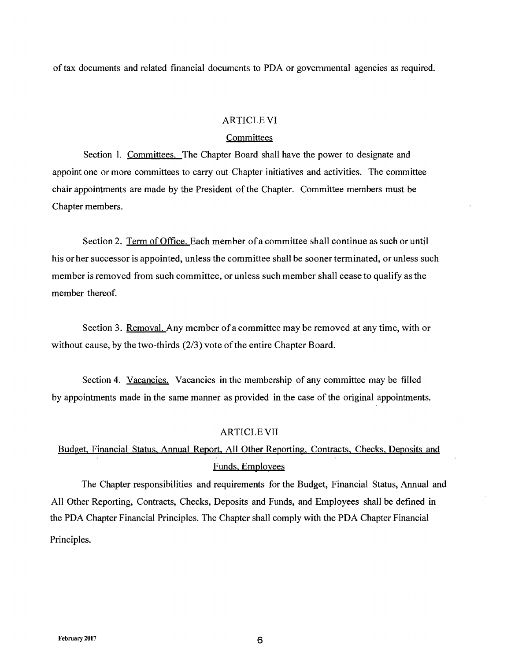oftax documents and related financial documents to PDA or governmental agencies as required.

# ARTICLE VI

# **Committees**

Section l. Committees. The Chapter Board shall have the power to designate and appoint one or more committees to carry out Chapter initiatives and activities. The committee chair appointments are made by the President of the Chapter. Committee members must be Chapter members.

Section 2. Term of Office. Each member ofa committee shall continue as such or until his or her successor is appointed, unless the committee shall be sooner terminated, or unless such member is removed from such committee, or unless such member shall cease to qualify as the member thereof.

Section 3. Removal. Any member ofacommittee may be removed at any time, with or without cause, by the two-thirds  $(2/3)$  vote of the entire Chapter Board.

Section 4. Vacancies. Vacancies in the membership of any committee may be filled by appointments made in the same manner as provided in the case of the original appointments.

#### ARTICLE VII

# Budget. Financial Status. Annual Report. All Other Reporting, Contracts, Checks. Deposits and Funds. Employees

The Chapter responsibilities and requirements for the Budget, Financial Status, Annual and All Other Reporting, Contracts, Checks, Deposits and Funds, and Employees shall be defined in the PDA Chapter Financial Principles. The Chapter shall comply with the PDA Chapter Financial Principles.